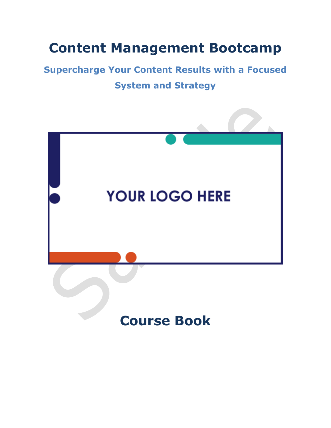# **Content Management Bootcamp**

## **Supercharge Your Content Results with a Focused System and Strategy**

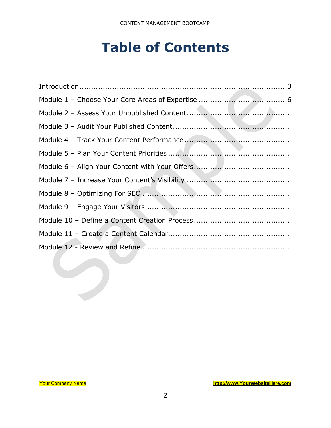# **Table of Contents**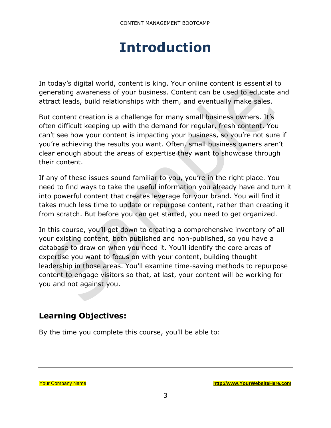# **Introduction**

<span id="page-2-0"></span>In today's digital world, content is king. Your online content is essential to generating awareness of your business. Content can be used to educate and attract leads, build relationships with them, and eventually make sales.

But content creation is a challenge for many small business owners. It's often difficult keeping up with the demand for regular, fresh content. You can't see how your content is impacting your business, so you're not sure if you're achieving the results you want. Often, small business owners aren't clear enough about the areas of expertise they want to showcase through their content.

If any of these issues sound familiar to you, you're in the right place. You need to find ways to take the useful information you already have and turn it into powerful content that creates leverage for your brand. You will find it takes much less time to update or repurpose content, rather than creating it from scratch. But before you can get started, you need to get organized.

In this course, you'll get down to creating a comprehensive inventory of all your existing content, both published and non-published, so you have a database to draw on when you need it. You'll identify the core areas of expertise you want to focus on with your content, building thought leadership in those areas. You'll examine time-saving methods to repurpose content to engage visitors so that, at last, your content will be working for you and not against you.

## **Learning Objectives:**

By the time you complete this course, you'll be able to: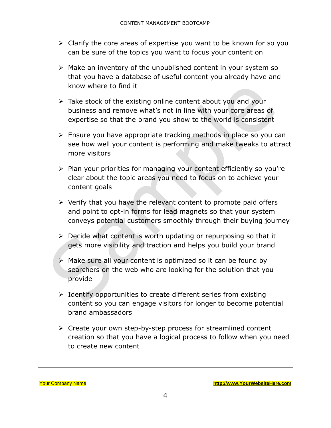- ➢ Clarify the core areas of expertise you want to be known for so you can be sure of the topics you want to focus your content on
- ➢ Make an inventory of the unpublished content in your system so that you have a database of useful content you already have and know where to find it
- ➢ Take stock of the existing online content about you and your business and remove what's not in line with your core areas of expertise so that the brand you show to the world is consistent
- ➢ Ensure you have appropriate tracking methods in place so you can see how well your content is performing and make tweaks to attract more visitors
- ➢ Plan your priorities for managing your content efficiently so you're clear about the topic areas you need to focus on to achieve your content goals
- ➢ Verify that you have the relevant content to promote paid offers and point to opt-in forms for lead magnets so that your system conveys potential customers smoothly through their buying journey
- $\triangleright$  Decide what content is worth updating or repurposing so that it gets more visibility and traction and helps you build your brand
- $\triangleright$  Make sure all your content is optimized so it can be found by searchers on the web who are looking for the solution that you provide
- ➢ Identify opportunities to create different series from existing content so you can engage visitors for longer to become potential brand ambassadors
- ➢ Create your own step-by-step process for streamlined content creation so that you have a logical process to follow when you need to create new content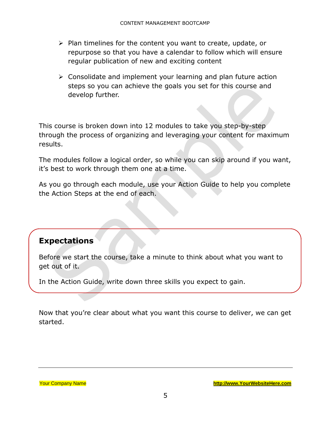- ➢ Plan timelines for the content you want to create, update, or repurpose so that you have a calendar to follow which will ensure regular publication of new and exciting content
- ➢ Consolidate and implement your learning and plan future action steps so you can achieve the goals you set for this course and develop further.

This course is broken down into 12 modules to take you step-by-step through the process of organizing and leveraging your content for maximum results.

The modules follow a logical order, so while you can skip around if you want, it's best to work through them one at a time.

As you go through each module, use your Action Guide to help you complete the Action Steps at the end of each.

#### **Expectations**

Before we start the course, take a minute to think about what you want to get out of it.

In the Action Guide, write down three skills you expect to gain.

Now that you're clear about what you want this course to deliver, we can get started.

Your Company Name **[http://www.YourWebsiteHere.com](http://www.yourwebsitehere.com/)**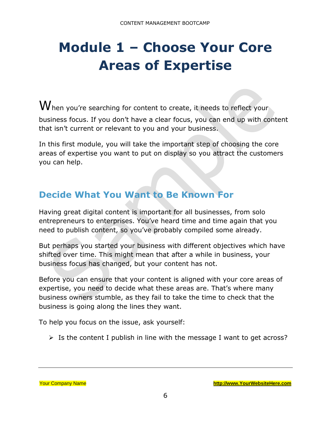# <span id="page-5-0"></span>**Module 1 – Choose Your Core Areas of Expertise**

 ${\bf W}$ hen you're searching for content to create, it needs to reflect your business focus. If you don't have a clear focus, you can end up with content that isn't current or relevant to you and your business.

In this first module, you will take the important step of choosing the core areas of expertise you want to put on display so you attract the customers you can help.

## **Decide What You Want to Be Known For**

Having great digital content is important for all businesses, from solo entrepreneurs to enterprises. You've heard time and time again that you need to publish content, so you've probably compiled some already.

But perhaps you started your business with different objectives which have shifted over time. This might mean that after a while in business, your business focus has changed, but your content has not.

Before you can ensure that your content is aligned with your core areas of expertise, you need to decide what these areas are. That's where many business owners stumble, as they fail to take the time to check that the business is going along the lines they want.

To help you focus on the issue, ask yourself:

 $\triangleright$  Is the content I publish in line with the message I want to get across?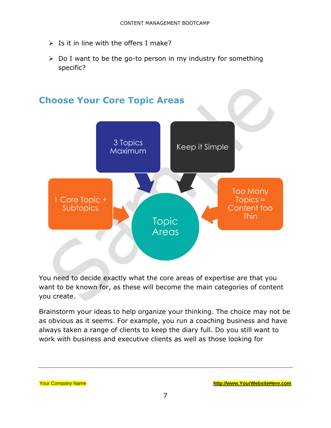- $\triangleright$  Is it in line with the offers I make?
- ➢ Do I want to be the go-to person in my industry for something specific?



You need to decide exactly what the core areas of expertise are that you want to be known for, as these will become the main categories of content you create.

Brainstorm your ideas to help organize your thinking. The choice may not be as obvious as it seems. For example, you run a coaching business and have always taken a range of clients to keep the diary full. Do you still want to work with business and executive clients as well as those looking for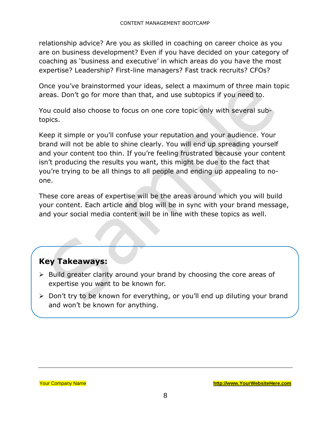relationship advice? Are you as skilled in coaching on career choice as you are on business development? Even if you have decided on your category of coaching as 'business and executive' in which areas do you have the most expertise? Leadership? First-line managers? Fast track recruits? CFOs?

Once you've brainstormed your ideas, select a maximum of three main topic areas. Don't go for more than that, and use subtopics if you need to.

You could also choose to focus on one core topic only with several subtopics.

Keep it simple or you'll confuse your reputation and your audience. Your brand will not be able to shine clearly. You will end up spreading yourself and your content too thin. If you're feeling frustrated because your content isn't producing the results you want, this might be due to the fact that you're trying to be all things to all people and ending up appealing to noone.

These core areas of expertise will be the areas around which you will build your content. Each article and blog will be in sync with your brand message, and your social media content will be in line with these topics as well.

#### **Key Takeaways:**

- ➢ Build greater clarity around your brand by choosing the core areas of expertise you want to be known for.
- ➢ Don't try to be known for everything, or you'll end up diluting your brand and won't be known for anything.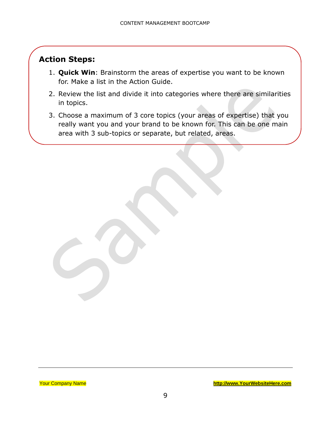## **Action Steps:**

- 1. **Quick Win**: Brainstorm the areas of expertise you want to be known for. Make a list in the Action Guide.
- 2. Review the list and divide it into categories where there are similarities in topics.
- 3. Choose a maximum of 3 core topics (your areas of expertise) that you really want you and your brand to be known for. This can be one main area with 3 sub-topics or separate, but related, areas.